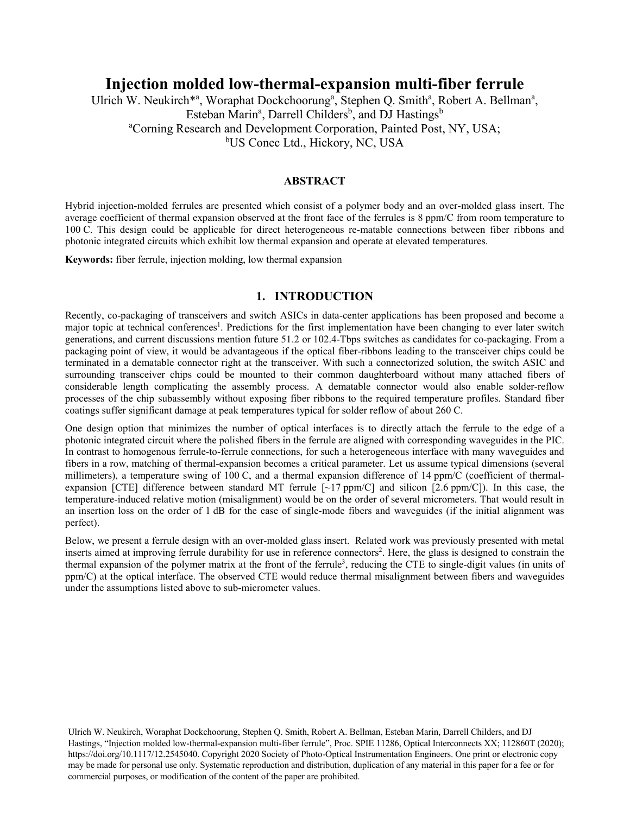# **Injection molded low-thermal-expansion multi-fiber ferrule**

Ulrich W. Neukirch<sup>\*a</sup>, Woraphat Dockchoorung<sup>a</sup>, Stephen Q. Smith<sup>a</sup>, Robert A. Bellman<sup>a</sup>, Esteban Marin<sup>a</sup>, Darrell Childers<sup>b</sup>, and DJ Hastings<sup>b</sup> <sup>a</sup>Corning Research and Development Corporation, Painted Post, NY, USA; <sup>b</sup>US Conec Ltd., Hickory, NC, USA

## **ABSTRACT**

Hybrid injection-molded ferrules are presented which consist of a polymer body and an over-molded glass insert. The average coefficient of thermal expansion observed at the front face of the ferrules is 8 ppm/C from room temperature to 100 C. This design could be applicable for direct heterogeneous re-matable connections between fiber ribbons and photonic integrated circuits which exhibit low thermal expansion and operate at elevated temperatures.

**Keywords:** fiber ferrule, injection molding, low thermal expansion

## **1. INTRODUCTION**

Recently, co-packaging of transceivers and switch ASICs in data-center applications has been proposed and become a major topic at technical conferences<sup>1</sup>. Predictions for the first implementation have been changing to ever later switch generations, and current discussions mention future 51.2 or 102.4-Tbps switches as candidates for co-packaging. From a packaging point of view, it would be advantageous if the optical fiber-ribbons leading to the transceiver chips could be terminated in a dematable connector right at the transceiver. With such a connectorized solution, the switch ASIC and surrounding transceiver chips could be mounted to their common daughterboard without many attached fibers of considerable length complicating the assembly process. A dematable connector would also enable solder-reflow processes of the chip subassembly without exposing fiber ribbons to the required temperature profiles. Standard fiber coatings suffer significant damage at peak temperatures typical for solder reflow of about 260 C.

One design option that minimizes the number of optical interfaces is to directly attach the ferrule to the edge of a photonic integrated circuit where the polished fibers in the ferrule are aligned with corresponding waveguides in the PIC. In contrast to homogenous ferrule-to-ferrule connections, for such a heterogeneous interface with many waveguides and fibers in a row, matching of thermal-expansion becomes a critical parameter. Let us assume typical dimensions (several millimeters), a temperature swing of 100 C, and a thermal expansion difference of 14 ppm/C (coefficient of thermalexpansion [CTE] difference between standard MT ferrule  $\lceil \sim 17 \text{ ppm/C} \rceil$  and silicon [2.6 ppm/C]). In this case, the temperature-induced relative motion (misalignment) would be on the order of several micrometers. That would result in an insertion loss on the order of 1 dB for the case of single-mode fibers and waveguides (if the initial alignment was perfect).

Below, we present a ferrule design with an over-molded glass insert. Related work was previously presented with metal inserts aimed at improving ferrule durability for use in reference connectors<sup>2</sup>. Here, the glass is designed to constrain the thermal expansion of the polymer matrix at the front of the ferrule<sup>3</sup>, reducing the CTE to single-digit values (in units of ppm/C) at the optical interface. The observed CTE would reduce thermal misalignment between fibers and waveguides under the assumptions listed above to sub-micrometer values.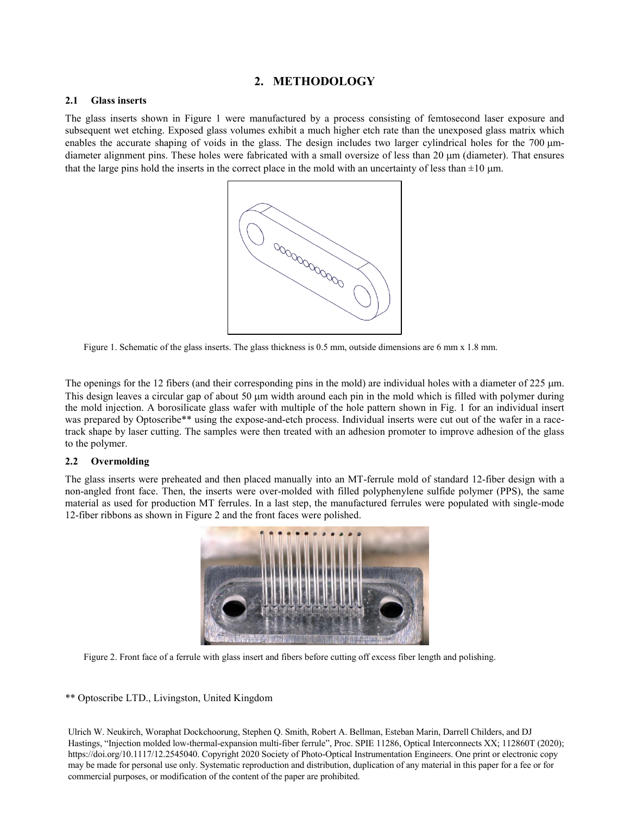# **2. METHODOLOGY**

## **2.1 Glass inserts**

The glass inserts shown in Figure 1 were manufactured by a process consisting of femtosecond laser exposure and subsequent wet etching. Exposed glass volumes exhibit a much higher etch rate than the unexposed glass matrix which enables the accurate shaping of voids in the glass. The design includes two larger cylindrical holes for the 700  $\mu$ mdiameter alignment pins. These holes were fabricated with a small oversize of less than 20 µm (diameter). That ensures that the large pins hold the inserts in the correct place in the mold with an uncertainty of less than  $\pm 10 \,\mu m$ .



Figure 1. Schematic of the glass inserts. The glass thickness is 0.5 mm, outside dimensions are 6 mm x 1.8 mm.

The openings for the 12 fibers (and their corresponding pins in the mold) are individual holes with a diameter of 225  $\mu$ m. This design leaves a circular gap of about 50  $\mu$ m width around each pin in the mold which is filled with polymer during the mold injection. A borosilicate glass wafer with multiple of the hole pattern shown in Fig. 1 for an individual insert was prepared by Optoscribe<sup>\*\*</sup> using the expose-and-etch process. Individual inserts were cut out of the wafer in a racetrack shape by laser cutting. The samples were then treated with an adhesion promoter to improve adhesion of the glass to the polymer.

## **2.2 Overmolding**

The glass inserts were preheated and then placed manually into an MT-ferrule mold of standard 12-fiber design with a non-angled front face. Then, the inserts were over-molded with filled polyphenylene sulfide polymer (PPS), the same material as used for production MT ferrules. In a last step, the manufactured ferrules were populated with single-mode 12-fiber ribbons as shown in Figure 2 and the front faces were polished.



Figure 2. Front face of a ferrule with glass insert and fibers before cutting off excess fiber length and polishing.

## \*\* Optoscribe LTD., Livingston, United Kingdom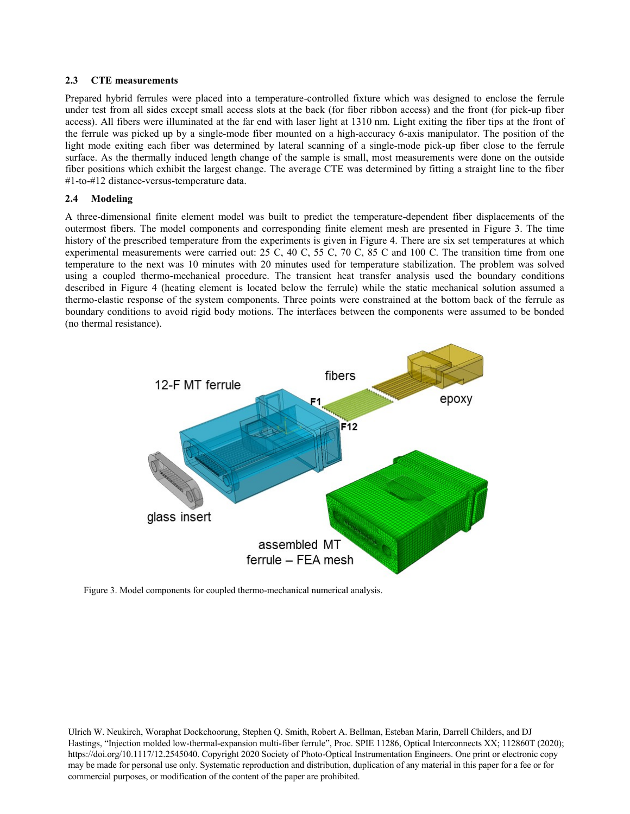#### **2.3 CTE measurements**

Prepared hybrid ferrules were placed into a temperature-controlled fixture which was designed to enclose the ferrule under test from all sides except small access slots at the back (for fiber ribbon access) and the front (for pick-up fiber access). All fibers were illuminated at the far end with laser light at 1310 nm. Light exiting the fiber tips at the front of the ferrule was picked up by a single-mode fiber mounted on a high-accuracy 6-axis manipulator. The position of the light mode exiting each fiber was determined by lateral scanning of a single-mode pick-up fiber close to the ferrule surface. As the thermally induced length change of the sample is small, most measurements were done on the outside fiber positions which exhibit the largest change. The average CTE was determined by fitting a straight line to the fiber #1-to-#12 distance-versus-temperature data.

## **2.4 Modeling**

A three-dimensional finite element model was built to predict the temperature-dependent fiber displacements of the outermost fibers. The model components and corresponding finite element mesh are presented in Figure 3. The time history of the prescribed temperature from the experiments is given in Figure 4. There are six set temperatures at which experimental measurements were carried out: 25 C, 40 C, 55 C, 70 C, 85 C and 100 C. The transition time from one temperature to the next was 10 minutes with 20 minutes used for temperature stabilization. The problem was solved using a coupled thermo-mechanical procedure. The transient heat transfer analysis used the boundary conditions described in Figure 4 (heating element is located below the ferrule) while the static mechanical solution assumed a thermo-elastic response of the system components. Three points were constrained at the bottom back of the ferrule as boundary conditions to avoid rigid body motions. The interfaces between the components were assumed to be bonded (no thermal resistance).



Figure 3. Model components for coupled thermo-mechanical numerical analysis.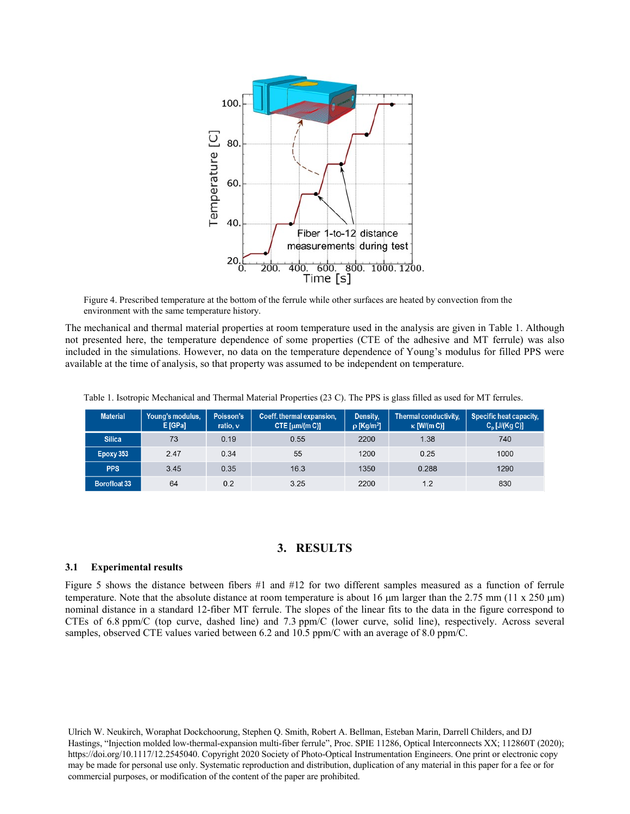

Figure 4. Prescribed temperature at the bottom of the ferrule while other surfaces are heated by convection from the environment with the same temperature history.

The mechanical and thermal material properties at room temperature used in the analysis are given in Table 1. Although not presented here, the temperature dependence of some properties (CTE of the adhesive and MT ferrule) was also included in the simulations. However, no data on the temperature dependence of Young's modulus for filled PPS were available at the time of analysis, so that property was assumed to be independent on temperature.

| Table 1. Isotropic Mechanical and Thermal Material Properties (23 C). The PPS is glass filled as used for MT ferrules. |  |  |
|------------------------------------------------------------------------------------------------------------------------|--|--|
|                                                                                                                        |  |  |

| <b>Material</b>     | Young's modulus,<br>E [GPa] | Poisson's<br>ratio, $v$ | Coeff. thermal expansion,<br>CTE [ $\mu$ m/(m C)] | Density,<br>$\rho$ [Kg/m <sup>3</sup> ] | Thermal conductivity,<br>$\kappa$ [W/(m C)] | Specific heat capacity,<br>$C_p$ [J/(Kg C)] |
|---------------------|-----------------------------|-------------------------|---------------------------------------------------|-----------------------------------------|---------------------------------------------|---------------------------------------------|
| <b>Silica</b>       | 73                          | 0.19                    | 0.55                                              | 2200                                    | 1.38                                        | 740                                         |
| Epoxy 353           | 2.47                        | 0.34                    | 55                                                | 1200                                    | 0.25                                        | 1000                                        |
| <b>PPS</b>          | 3.45                        | 0.35                    | 16.3                                              | 1350                                    | 0.288                                       | 1290                                        |
| <b>Borofloat 33</b> | 64                          | 0.2                     | 3.25                                              | 2200                                    | 1.2                                         | 830                                         |

## **3. RESULTS**

#### **3.1 Experimental results**

Figure 5 shows the distance between fibers #1 and #12 for two different samples measured as a function of ferrule temperature. Note that the absolute distance at room temperature is about 16  $\mu$ m larger than the 2.75 mm (11 x 250  $\mu$ m) nominal distance in a standard 12-fiber MT ferrule. The slopes of the linear fits to the data in the figure correspond to CTEs of 6.8 ppm/C (top curve, dashed line) and 7.3 ppm/C (lower curve, solid line), respectively. Across several samples, observed CTE values varied between 6.2 and 10.5 ppm/C with an average of 8.0 ppm/C.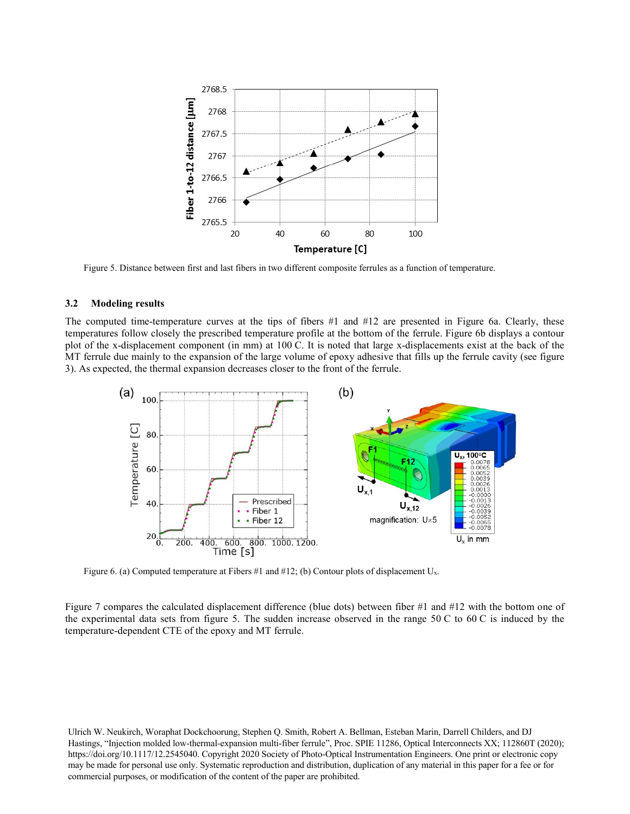

Figure 5. Distance between first and last fibers in two different composite ferrules as a function of temperature.

#### **3.2 Modeling results**

The computed time-temperature curves at the tips of fibers #1 and #12 are presented in Figure 6a. Clearly, these temperatures follow closely the prescribed temperature profile at the bottom of the ferrule. Figure 6b displays a contour plot of the x-displacement component (in mm) at 100 C. It is noted that large x-displacements exist at the back of the MT ferrule due mainly to the expansion of the large volume of epoxy adhesive that fills up the ferrule cavity (see figure 3). As expected, the thermal expansion decreases closer to the front of the ferrule.



Figure 6. (a) Computed temperature at Fibers #1 and #12; (b) Contour plots of displacement U<sub>x</sub>.

Figure 7 compares the calculated displacement difference (blue dots) between fiber #1 and #12 with the bottom one of the experimental data sets from figure 5. The sudden increase observed in the range 50 C to 60 C is induced by the temperature-dependent CTE of the epoxy and MT ferrule.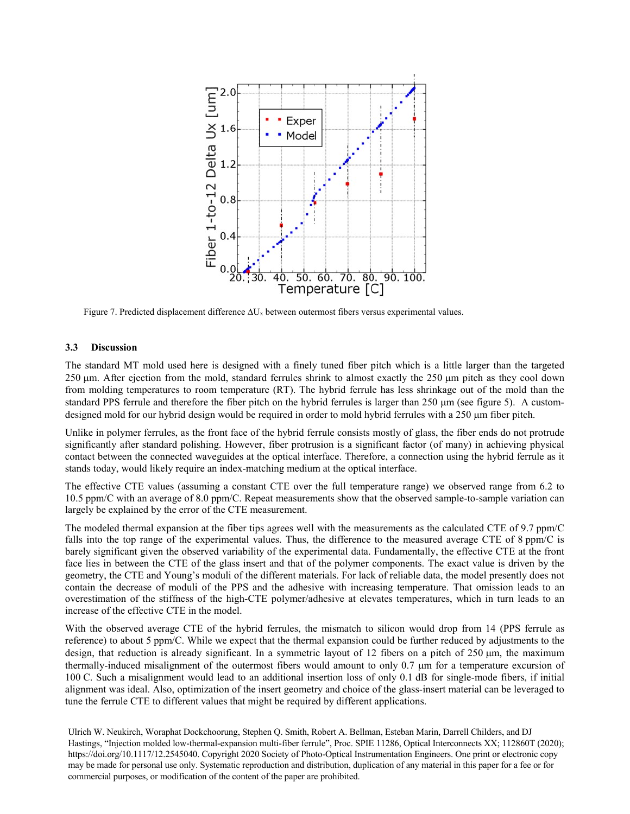

Figure 7. Predicted displacement difference ∆Ux between outermost fibers versus experimental values.

#### **3.3 Discussion**

The standard MT mold used here is designed with a finely tuned fiber pitch which is a little larger than the targeted 250 µm. After ejection from the mold, standard ferrules shrink to almost exactly the 250 µm pitch as they cool down from molding temperatures to room temperature (RT). The hybrid ferrule has less shrinkage out of the mold than the standard PPS ferrule and therefore the fiber pitch on the hybrid ferrules is larger than  $250 \mu m$  (see figure 5). A customdesigned mold for our hybrid design would be required in order to mold hybrid ferrules with a 250 µm fiber pitch.

Unlike in polymer ferrules, as the front face of the hybrid ferrule consists mostly of glass, the fiber ends do not protrude significantly after standard polishing. However, fiber protrusion is a significant factor (of many) in achieving physical contact between the connected waveguides at the optical interface. Therefore, a connection using the hybrid ferrule as it stands today, would likely require an index-matching medium at the optical interface.

The effective CTE values (assuming a constant CTE over the full temperature range) we observed range from 6.2 to 10.5 ppm/C with an average of 8.0 ppm/C. Repeat measurements show that the observed sample-to-sample variation can largely be explained by the error of the CTE measurement.

The modeled thermal expansion at the fiber tips agrees well with the measurements as the calculated CTE of 9.7 ppm/C falls into the top range of the experimental values. Thus, the difference to the measured average CTE of 8 ppm/C is barely significant given the observed variability of the experimental data. Fundamentally, the effective CTE at the front face lies in between the CTE of the glass insert and that of the polymer components. The exact value is driven by the geometry, the CTE and Young's moduli of the different materials. For lack of reliable data, the model presently does not contain the decrease of moduli of the PPS and the adhesive with increasing temperature. That omission leads to an overestimation of the stiffness of the high-CTE polymer/adhesive at elevates temperatures, which in turn leads to an increase of the effective CTE in the model.

With the observed average CTE of the hybrid ferrules, the mismatch to silicon would drop from 14 (PPS ferrule as reference) to about 5 ppm/C. While we expect that the thermal expansion could be further reduced by adjustments to the design, that reduction is already significant. In a symmetric layout of 12 fibers on a pitch of 250 µm, the maximum thermally-induced misalignment of the outermost fibers would amount to only 0.7 µm for a temperature excursion of 100 C. Such a misalignment would lead to an additional insertion loss of only 0.1 dB for single-mode fibers, if initial alignment was ideal. Also, optimization of the insert geometry and choice of the glass-insert material can be leveraged to tune the ferrule CTE to different values that might be required by different applications.